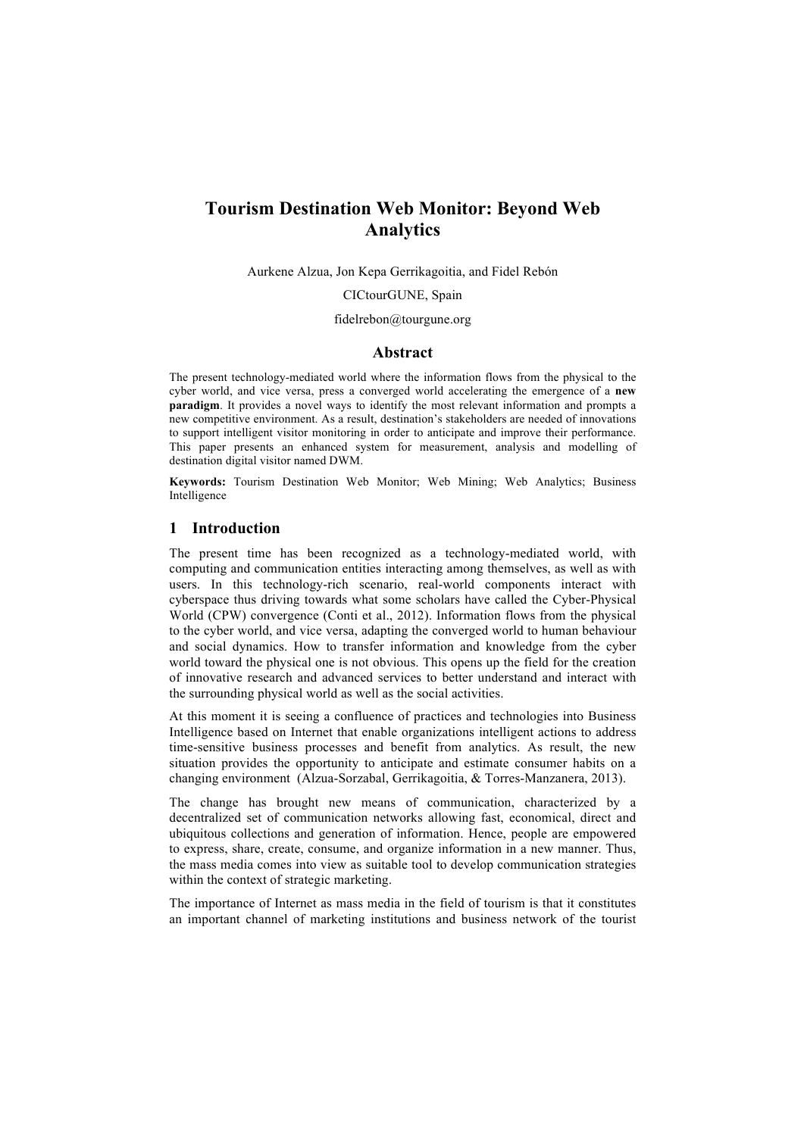# **Tourism Destination Web Monitor: Beyond Web Analytics**

Aurkene Alzua, Jon Kepa Gerrikagoitia, and Fidel Rebón

CICtourGUNE, Spain

#### fidelrebon@tourgune.org

#### **Abstract**

The present technology-mediated world where the information flows from the physical to the cyber world, and vice versa, press a converged world accelerating the emergence of a **new paradigm**. It provides a novel ways to identify the most relevant information and prompts a new competitive environment. As a result, destination's stakeholders are needed of innovations to support intelligent visitor monitoring in order to anticipate and improve their performance. This paper presents an enhanced system for measurement, analysis and modelling of destination digital visitor named DWM.

**Keywords:** Tourism Destination Web Monitor; Web Mining; Web Analytics; Business Intelligence

## **1 Introduction**

The present time has been recognized as a technology-mediated world, with computing and communication entities interacting among themselves, as well as with users. In this technology-rich scenario, real-world components interact with cyberspace thus driving towards what some scholars have called the Cyber-Physical World (CPW) convergence (Conti et al., 2012). Information flows from the physical to the cyber world, and vice versa, adapting the converged world to human behaviour and social dynamics. How to transfer information and knowledge from the cyber world toward the physical one is not obvious. This opens up the field for the creation of innovative research and advanced services to better understand and interact with the surrounding physical world as well as the social activities.

At this moment it is seeing a confluence of practices and technologies into Business Intelligence based on Internet that enable organizations intelligent actions to address time-sensitive business processes and benefit from analytics. As result, the new situation provides the opportunity to anticipate and estimate consumer habits on a changing environment (Alzua-Sorzabal, Gerrikagoitia, & Torres-Manzanera, 2013).

The change has brought new means of communication, characterized by a decentralized set of communication networks allowing fast, economical, direct and ubiquitous collections and generation of information. Hence, people are empowered to express, share, create, consume, and organize information in a new manner. Thus, the mass media comes into view as suitable tool to develop communication strategies within the context of strategic marketing.

The importance of Internet as mass media in the field of tourism is that it constitutes an important channel of marketing institutions and business network of the tourist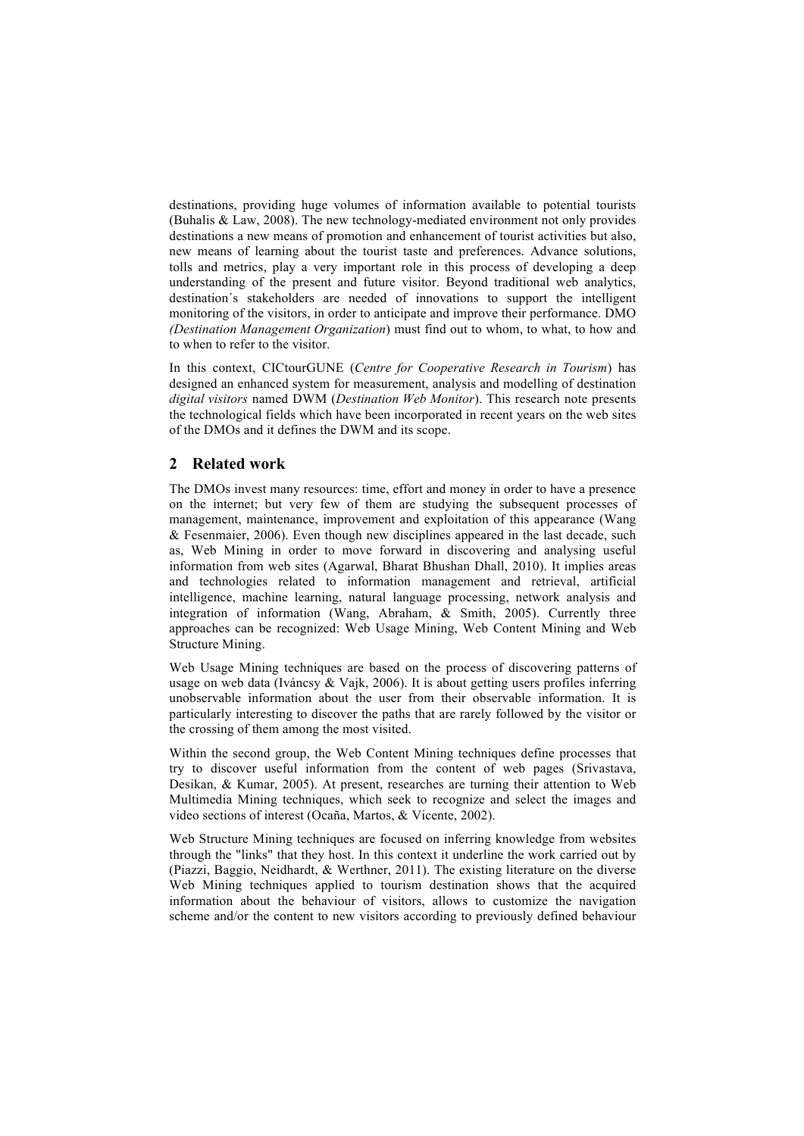destinations, providing huge volumes of information available to potential tourists (Buhalis & Law, 2008). The new technology-mediated environment not only provides destinations a new means of promotion and enhancement of tourist activities but also, new means of learning about the tourist taste and preferences. Advance solutions, tolls and metrics, play a very important role in this process of developing a deep understanding of the present and future visitor. Beyond traditional web analytics, destination´s stakeholders are needed of innovations to support the intelligent monitoring of the visitors, in order to anticipate and improve their performance. DMO *(Destination Management Organization*) must find out to whom, to what, to how and to when to refer to the visitor.

In this context, CICtourGUNE (*Centre for Cooperative Research in Tourism*) has designed an enhanced system for measurement, analysis and modelling of destination *digital visitors* named DWM (*Destination Web Monitor*). This research note presents the technological fields which have been incorporated in recent years on the web sites of the DMOs and it defines the DWM and its scope.

## **2 Related work**

The DMOs invest many resources: time, effort and money in order to have a presence on the internet; but very few of them are studying the subsequent processes of management, maintenance, improvement and exploitation of this appearance (Wang & Fesenmaier, 2006). Even though new disciplines appeared in the last decade, such as, Web Mining in order to move forward in discovering and analysing useful information from web sites (Agarwal, Bharat Bhushan Dhall, 2010). It implies areas and technologies related to information management and retrieval, artificial intelligence, machine learning, natural language processing, network analysis and integration of information (Wang, Abraham, & Smith, 2005). Currently three approaches can be recognized: Web Usage Mining, Web Content Mining and Web Structure Mining.

Web Usage Mining techniques are based on the process of discovering patterns of usage on web data (Iváncsy & Vajk, 2006). It is about getting users profiles inferring unobservable information about the user from their observable information. It is particularly interesting to discover the paths that are rarely followed by the visitor or the crossing of them among the most visited.

Within the second group, the Web Content Mining techniques define processes that try to discover useful information from the content of web pages (Srivastava, Desikan, & Kumar, 2005). At present, researches are turning their attention to Web Multimedia Mining techniques, which seek to recognize and select the images and video sections of interest (Ocaña, Martos, & Vicente, 2002).

Web Structure Mining techniques are focused on inferring knowledge from websites through the "links" that they host. In this context it underline the work carried out by (Piazzi, Baggio, Neidhardt, & Werthner, 2011). The existing literature on the diverse Web Mining techniques applied to tourism destination shows that the acquired information about the behaviour of visitors, allows to customize the navigation scheme and/or the content to new visitors according to previously defined behaviour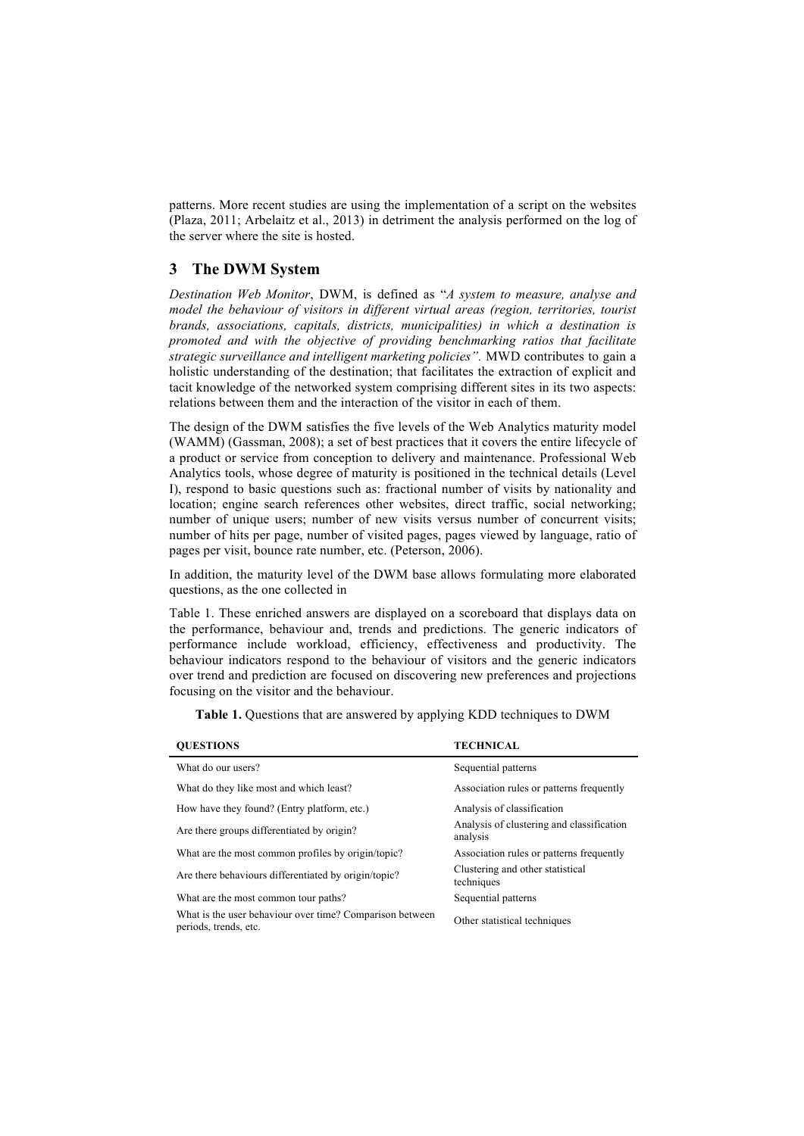patterns. More recent studies are using the implementation of a script on the websites (Plaza, 2011; Arbelaitz et al., 2013) in detriment the analysis performed on the log of the server where the site is hosted.

# **3 The DWM System**

*Destination Web Monitor*, DWM, is defined as "*A system to measure, analyse and model the behaviour of visitors in different virtual areas (region, territories, tourist brands, associations, capitals, districts, municipalities) in which a destination is promoted and with the objective of providing benchmarking ratios that facilitate strategic surveillance and intelligent marketing policies".* MWD contributes to gain a holistic understanding of the destination; that facilitates the extraction of explicit and tacit knowledge of the networked system comprising different sites in its two aspects: relations between them and the interaction of the visitor in each of them.

The design of the DWM satisfies the five levels of the Web Analytics maturity model (WAMM) (Gassman, 2008); a set of best practices that it covers the entire lifecycle of a product or service from conception to delivery and maintenance. Professional Web Analytics tools, whose degree of maturity is positioned in the technical details (Level I), respond to basic questions such as: fractional number of visits by nationality and location; engine search references other websites, direct traffic, social networking; number of unique users; number of new visits versus number of concurrent visits; number of hits per page, number of visited pages, pages viewed by language, ratio of pages per visit, bounce rate number, etc. (Peterson, 2006).

In addition, the maturity level of the DWM base allows formulating more elaborated questions, as the one collected in

Table 1. These enriched answers are displayed on a scoreboard that displays data on the performance, behaviour and, trends and predictions. The generic indicators of performance include workload, efficiency, effectiveness and productivity. The behaviour indicators respond to the behaviour of visitors and the generic indicators over trend and prediction are focused on discovering new preferences and projections focusing on the visitor and the behaviour.

|  | Table 1. Questions that are answered by applying KDD techniques to DWM |  |  |  |
|--|------------------------------------------------------------------------|--|--|--|
|  |                                                                        |  |  |  |

| <b>OUESTIONS</b>                                                                  | <b>TECHNICAL</b>                                      |  |  |  |  |
|-----------------------------------------------------------------------------------|-------------------------------------------------------|--|--|--|--|
| What do our users?                                                                | Sequential patterns                                   |  |  |  |  |
| What do they like most and which least?                                           | Association rules or patterns frequently              |  |  |  |  |
| How have they found? (Entry platform, etc.)                                       | Analysis of classification                            |  |  |  |  |
| Are there groups differentiated by origin?                                        | Analysis of clustering and classification<br>analysis |  |  |  |  |
| What are the most common profiles by origin/topic?                                | Association rules or patterns frequently              |  |  |  |  |
| Are there behaviours differentiated by origin/topic?                              | Clustering and other statistical<br>techniques        |  |  |  |  |
| What are the most common tour paths?                                              | Sequential patterns                                   |  |  |  |  |
| What is the user behaviour over time? Comparison between<br>periods, trends, etc. | Other statistical techniques                          |  |  |  |  |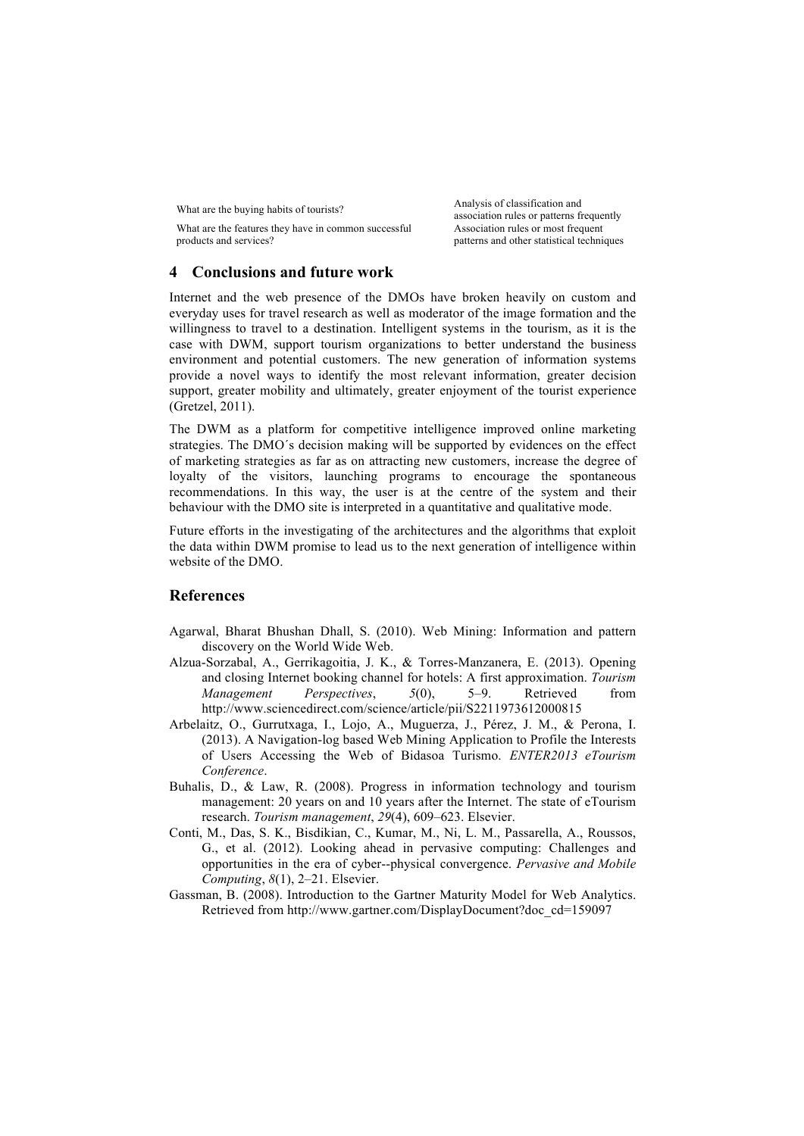What are the features they have in common successful products and services?

What are the buying habits of tourists?<br>
Malysis of classification and<br>  $\frac{1}{2}$ <br>
Malysis of classification and association rules or patterns frequently Association rules or most frequent patterns and other statistical techniques

# **4 Conclusions and future work**

Internet and the web presence of the DMOs have broken heavily on custom and everyday uses for travel research as well as moderator of the image formation and the willingness to travel to a destination. Intelligent systems in the tourism, as it is the case with DWM, support tourism organizations to better understand the business environment and potential customers. The new generation of information systems provide a novel ways to identify the most relevant information, greater decision support, greater mobility and ultimately, greater enjoyment of the tourist experience (Gretzel, 2011).

The DWM as a platform for competitive intelligence improved online marketing strategies. The DMO´s decision making will be supported by evidences on the effect of marketing strategies as far as on attracting new customers, increase the degree of loyalty of the visitors, launching programs to encourage the spontaneous recommendations. In this way, the user is at the centre of the system and their behaviour with the DMO site is interpreted in a quantitative and qualitative mode.

Future efforts in the investigating of the architectures and the algorithms that exploit the data within DWM promise to lead us to the next generation of intelligence within website of the DMO.

# **References**

- Agarwal, Bharat Bhushan Dhall, S. (2010). Web Mining: Information and pattern discovery on the World Wide Web.
- Alzua-Sorzabal, A., Gerrikagoitia, J. K., & Torres-Manzanera, E. (2013). Opening and closing Internet booking channel for hotels: A first approximation. *Tourism Management Perspectives*, *5*(0), 5–9. Retrieved from http://www.sciencedirect.com/science/article/pii/S2211973612000815
- Arbelaitz, O., Gurrutxaga, I., Lojo, A., Muguerza, J., Pérez, J. M., & Perona, I. (2013). A Navigation-log based Web Mining Application to Profile the Interests of Users Accessing the Web of Bidasoa Turismo. *ENTER2013 eTourism Conference*.
- Buhalis, D., & Law, R. (2008). Progress in information technology and tourism management: 20 years on and 10 years after the Internet. The state of eTourism research. *Tourism management*, *29*(4), 609–623. Elsevier.
- Conti, M., Das, S. K., Bisdikian, C., Kumar, M., Ni, L. M., Passarella, A., Roussos, G., et al. (2012). Looking ahead in pervasive computing: Challenges and opportunities in the era of cyber--physical convergence. *Pervasive and Mobile Computing*, *8*(1), 2–21. Elsevier.
- Gassman, B. (2008). Introduction to the Gartner Maturity Model for Web Analytics. Retrieved from http://www.gartner.com/DisplayDocument?doc\_cd=159097